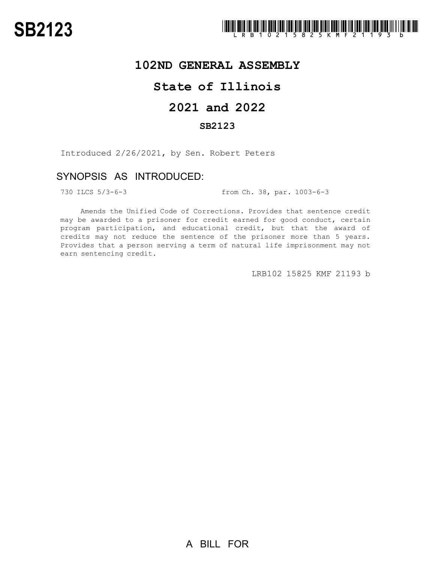

## **102ND GENERAL ASSEMBLY**

# **State of Illinois**

# **2021 and 2022**

### **SB2123**

Introduced 2/26/2021, by Sen. Robert Peters

### SYNOPSIS AS INTRODUCED:

730 ILCS 5/3-6-3 from Ch. 38, par. 1003-6-3

Amends the Unified Code of Corrections. Provides that sentence credit may be awarded to a prisoner for credit earned for good conduct, certain program participation, and educational credit, but that the award of credits may not reduce the sentence of the prisoner more than 5 years. Provides that a person serving a term of natural life imprisonment may not earn sentencing credit.

LRB102 15825 KMF 21193 b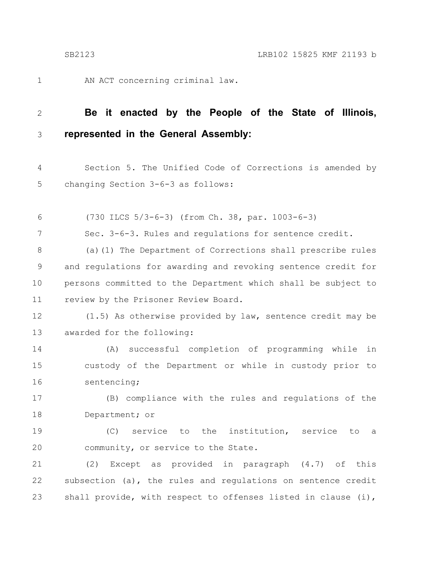1

7

AN ACT concerning criminal law.

#### **Be it enacted by the People of the State of Illinois, represented in the General Assembly:** 2 3

Section 5. The Unified Code of Corrections is amended by changing Section 3-6-3 as follows: 4 5

(730 ILCS 5/3-6-3) (from Ch. 38, par. 1003-6-3) 6

Sec. 3-6-3. Rules and regulations for sentence credit.

(a)(1) The Department of Corrections shall prescribe rules and regulations for awarding and revoking sentence credit for persons committed to the Department which shall be subject to review by the Prisoner Review Board. 8 9 10 11

(1.5) As otherwise provided by law, sentence credit may be awarded for the following: 12 13

(A) successful completion of programming while in custody of the Department or while in custody prior to sentencing; 14 15 16

(B) compliance with the rules and regulations of the Department; or 17 18

(C) service to the institution, service to a community, or service to the State. 19 20

(2) Except as provided in paragraph (4.7) of this subsection (a), the rules and regulations on sentence credit shall provide, with respect to offenses listed in clause (i), 21 22 23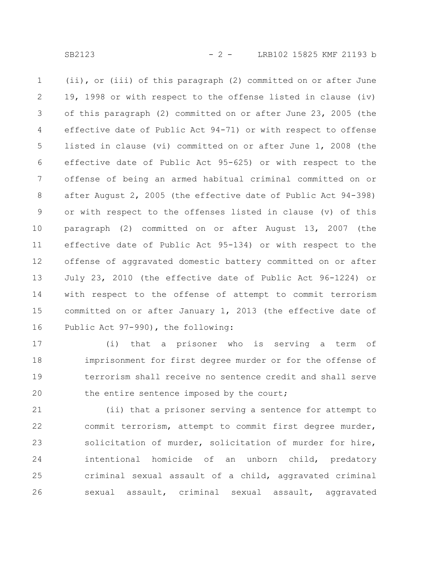SB2123 - 2 - LRB102 15825 KMF 21193 b

(ii), or (iii) of this paragraph (2) committed on or after June 19, 1998 or with respect to the offense listed in clause (iv) of this paragraph (2) committed on or after June 23, 2005 (the effective date of Public Act 94-71) or with respect to offense listed in clause (vi) committed on or after June 1, 2008 (the effective date of Public Act 95-625) or with respect to the offense of being an armed habitual criminal committed on or after August 2, 2005 (the effective date of Public Act 94-398) or with respect to the offenses listed in clause (v) of this paragraph (2) committed on or after August 13, 2007 (the effective date of Public Act 95-134) or with respect to the offense of aggravated domestic battery committed on or after July 23, 2010 (the effective date of Public Act 96-1224) or with respect to the offense of attempt to commit terrorism committed on or after January 1, 2013 (the effective date of Public Act 97-990), the following: 1 2 3 4 5 6 7 8 9 10 11 12 13 14 15 16

(i) that a prisoner who is serving a term of imprisonment for first degree murder or for the offense of terrorism shall receive no sentence credit and shall serve the entire sentence imposed by the court; 17 18 19 20

(ii) that a prisoner serving a sentence for attempt to commit terrorism, attempt to commit first degree murder, solicitation of murder, solicitation of murder for hire, intentional homicide of an unborn child, predatory criminal sexual assault of a child, aggravated criminal sexual assault, criminal sexual assault, aggravated 21 22 23 24 25 26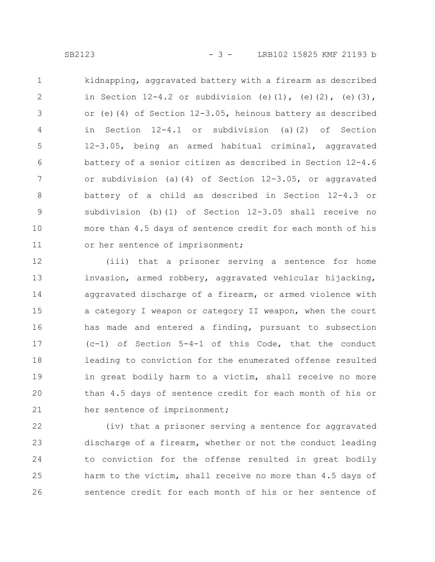kidnapping, aggravated battery with a firearm as described in Section  $12-4.2$  or subdivision (e)(1), (e)(2), (e)(3), or (e)(4) of Section 12-3.05, heinous battery as described in Section 12-4.1 or subdivision (a)(2) of Section 12-3.05, being an armed habitual criminal, aggravated battery of a senior citizen as described in Section 12-4.6 or subdivision (a)(4) of Section 12-3.05, or aggravated battery of a child as described in Section 12-4.3 or subdivision (b)(1) of Section 12-3.05 shall receive no more than 4.5 days of sentence credit for each month of his or her sentence of imprisonment; 1 2 3 4 5 6 7 8 9 10 11

(iii) that a prisoner serving a sentence for home invasion, armed robbery, aggravated vehicular hijacking, aggravated discharge of a firearm, or armed violence with a category I weapon or category II weapon, when the court has made and entered a finding, pursuant to subsection  $(c-1)$  of Section 5-4-1 of this Code, that the conduct leading to conviction for the enumerated offense resulted in great bodily harm to a victim, shall receive no more than 4.5 days of sentence credit for each month of his or her sentence of imprisonment; 12 13 14 15 16 17 18 19 20 21

(iv) that a prisoner serving a sentence for aggravated discharge of a firearm, whether or not the conduct leading to conviction for the offense resulted in great bodily harm to the victim, shall receive no more than 4.5 days of sentence credit for each month of his or her sentence of 22 23 24 25 26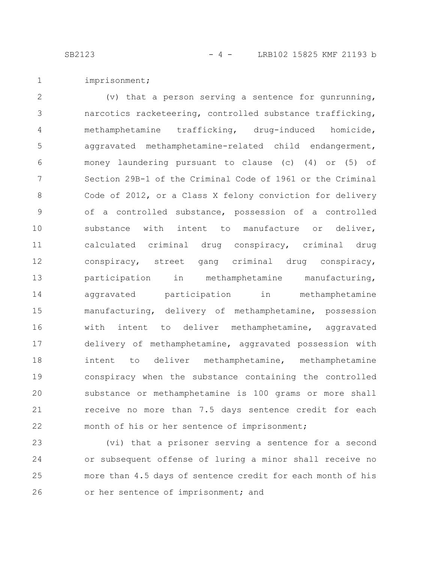SB2123 - 4 - LRB102 15825 KMF 21193 b

imprisonment; 1

(v) that a person serving a sentence for gunrunning, narcotics racketeering, controlled substance trafficking, methamphetamine trafficking, drug-induced homicide, aggravated methamphetamine-related child endangerment, money laundering pursuant to clause (c) (4) or (5) of Section 29B-1 of the Criminal Code of 1961 or the Criminal Code of 2012, or a Class X felony conviction for delivery of a controlled substance, possession of a controlled substance with intent to manufacture or deliver, calculated criminal drug conspiracy, criminal drug conspiracy, street gang criminal drug conspiracy, participation in methamphetamine manufacturing, aggravated participation in methamphetamine manufacturing, delivery of methamphetamine, possession with intent to deliver methamphetamine, aggravated delivery of methamphetamine, aggravated possession with intent to deliver methamphetamine, methamphetamine conspiracy when the substance containing the controlled substance or methamphetamine is 100 grams or more shall receive no more than 7.5 days sentence credit for each month of his or her sentence of imprisonment; 2 3 4 5 6 7 8 9 10 11 12 13 14 15 16 17 18 19 20 21 22

(vi) that a prisoner serving a sentence for a second or subsequent offense of luring a minor shall receive no more than 4.5 days of sentence credit for each month of his or her sentence of imprisonment; and 23 24 25 26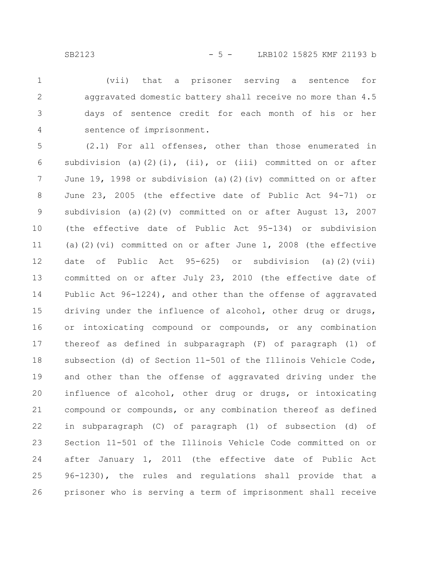(vii) that a prisoner serving a sentence for aggravated domestic battery shall receive no more than 4.5 days of sentence credit for each month of his or her sentence of imprisonment. 1 2 3 4

(2.1) For all offenses, other than those enumerated in subdivision (a)(2)(i), (ii), or (iii) committed on or after June 19, 1998 or subdivision (a)(2)(iv) committed on or after June 23, 2005 (the effective date of Public Act 94-71) or subdivision (a)(2)(v) committed on or after August 13, 2007 (the effective date of Public Act 95-134) or subdivision (a)(2)(vi) committed on or after June 1, 2008 (the effective date of Public Act 95-625) or subdivision (a)(2)(vii) committed on or after July 23, 2010 (the effective date of Public Act 96-1224), and other than the offense of aggravated driving under the influence of alcohol, other drug or drugs, or intoxicating compound or compounds, or any combination thereof as defined in subparagraph (F) of paragraph (1) of subsection (d) of Section 11-501 of the Illinois Vehicle Code, and other than the offense of aggravated driving under the influence of alcohol, other drug or drugs, or intoxicating compound or compounds, or any combination thereof as defined in subparagraph (C) of paragraph (1) of subsection (d) of Section 11-501 of the Illinois Vehicle Code committed on or after January 1, 2011 (the effective date of Public Act 96-1230), the rules and regulations shall provide that a prisoner who is serving a term of imprisonment shall receive 5 6 7 8 9 10 11 12 13 14 15 16 17 18 19 20 21 22 23 24 25 26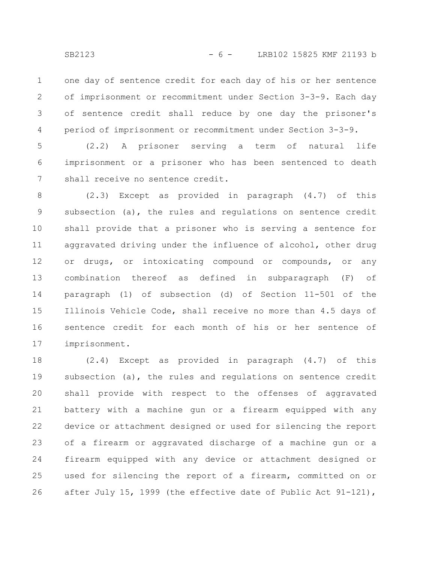one day of sentence credit for each day of his or her sentence of imprisonment or recommitment under Section 3-3-9. Each day of sentence credit shall reduce by one day the prisoner's period of imprisonment or recommitment under Section 3-3-9. 1 2 3 4

(2.2) A prisoner serving a term of natural life imprisonment or a prisoner who has been sentenced to death shall receive no sentence credit. 5 6 7

(2.3) Except as provided in paragraph (4.7) of this subsection (a), the rules and regulations on sentence credit shall provide that a prisoner who is serving a sentence for aggravated driving under the influence of alcohol, other drug or drugs, or intoxicating compound or compounds, or any combination thereof as defined in subparagraph (F) of paragraph (1) of subsection (d) of Section 11-501 of the Illinois Vehicle Code, shall receive no more than 4.5 days of sentence credit for each month of his or her sentence of imprisonment. 8 9 10 11 12 13 14 15 16 17

(2.4) Except as provided in paragraph (4.7) of this subsection (a), the rules and regulations on sentence credit shall provide with respect to the offenses of aggravated battery with a machine gun or a firearm equipped with any device or attachment designed or used for silencing the report of a firearm or aggravated discharge of a machine gun or a firearm equipped with any device or attachment designed or used for silencing the report of a firearm, committed on or after July 15, 1999 (the effective date of Public Act 91-121), 18 19 20 21 22 23 24 25 26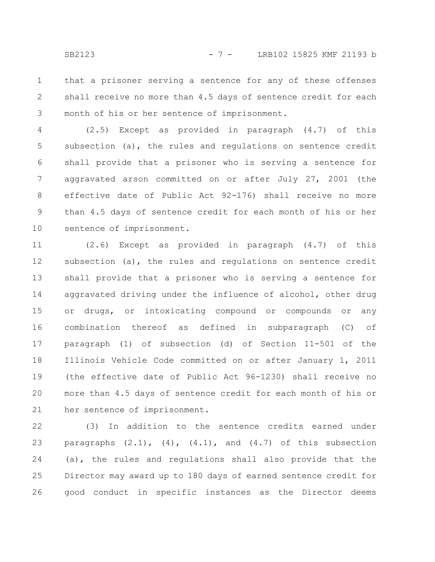that a prisoner serving a sentence for any of these offenses shall receive no more than 4.5 days of sentence credit for each month of his or her sentence of imprisonment. 1 2 3

(2.5) Except as provided in paragraph (4.7) of this subsection (a), the rules and regulations on sentence credit shall provide that a prisoner who is serving a sentence for aggravated arson committed on or after July 27, 2001 (the effective date of Public Act 92-176) shall receive no more than 4.5 days of sentence credit for each month of his or her sentence of imprisonment. 4 5 6 7 8 9 10

(2.6) Except as provided in paragraph (4.7) of this subsection (a), the rules and regulations on sentence credit shall provide that a prisoner who is serving a sentence for aggravated driving under the influence of alcohol, other drug or drugs, or intoxicating compound or compounds or any combination thereof as defined in subparagraph (C) of paragraph (1) of subsection (d) of Section 11-501 of the Illinois Vehicle Code committed on or after January 1, 2011 (the effective date of Public Act 96-1230) shall receive no more than 4.5 days of sentence credit for each month of his or her sentence of imprisonment. 11 12 13 14 15 16 17 18 19 20 21

(3) In addition to the sentence credits earned under paragraphs  $(2.1)$ ,  $(4)$ ,  $(4.1)$ , and  $(4.7)$  of this subsection (a), the rules and regulations shall also provide that the Director may award up to 180 days of earned sentence credit for good conduct in specific instances as the Director deems 22 23 24 25 26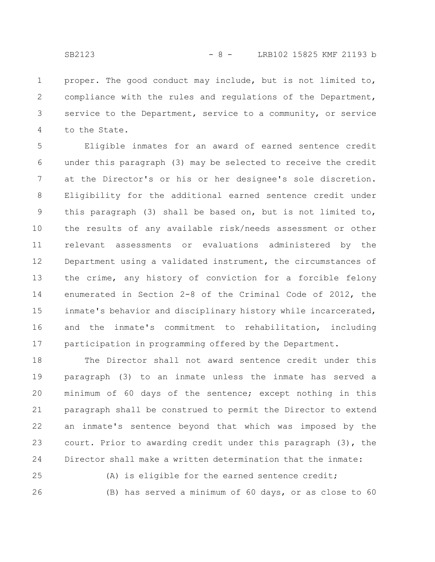proper. The good conduct may include, but is not limited to, compliance with the rules and regulations of the Department, service to the Department, service to a community, or service to the State. 1 2 3 4

Eligible inmates for an award of earned sentence credit under this paragraph (3) may be selected to receive the credit at the Director's or his or her designee's sole discretion. Eligibility for the additional earned sentence credit under this paragraph (3) shall be based on, but is not limited to, the results of any available risk/needs assessment or other relevant assessments or evaluations administered by the Department using a validated instrument, the circumstances of the crime, any history of conviction for a forcible felony enumerated in Section 2-8 of the Criminal Code of 2012, the inmate's behavior and disciplinary history while incarcerated, and the inmate's commitment to rehabilitation, including participation in programming offered by the Department. 5 6 7 8 9 10 11 12 13 14 15 16 17

The Director shall not award sentence credit under this paragraph (3) to an inmate unless the inmate has served a minimum of 60 days of the sentence; except nothing in this paragraph shall be construed to permit the Director to extend an inmate's sentence beyond that which was imposed by the court. Prior to awarding credit under this paragraph (3), the Director shall make a written determination that the inmate: 18 19 20 21 22 23 24

(A) is eligible for the earned sentence credit; (B) has served a minimum of 60 days, or as close to 60 25 26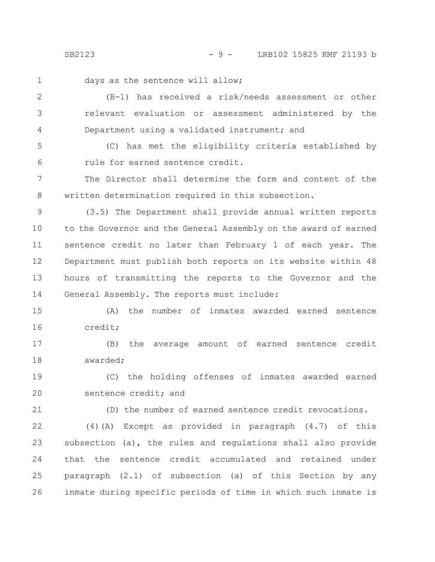SB2123 - 9 - LRB102 15825 KMF 21193 b

1

days as the sentence will allow;

(B-1) has received a risk/needs assessment or other relevant evaluation or assessment administered by the Department using a validated instrument; and 2 3 4

(C) has met the eligibility criteria established by rule for earned sentence credit. 5 6

The Director shall determine the form and content of the written determination required in this subsection. 7 8

(3.5) The Department shall provide annual written reports to the Governor and the General Assembly on the award of earned sentence credit no later than February 1 of each year. The Department must publish both reports on its website within 48 hours of transmitting the reports to the Governor and the General Assembly. The reports must include: 9 10 11 12 13 14

(A) the number of inmates awarded earned sentence credit; 15 16

(B) the average amount of earned sentence credit awarded; 17 18

(C) the holding offenses of inmates awarded earned sentence credit; and 19 20

21

(D) the number of earned sentence credit revocations.

(4)(A) Except as provided in paragraph (4.7) of this subsection (a), the rules and regulations shall also provide that the sentence credit accumulated and retained under paragraph (2.1) of subsection (a) of this Section by any inmate during specific periods of time in which such inmate is 22 23 24 25 26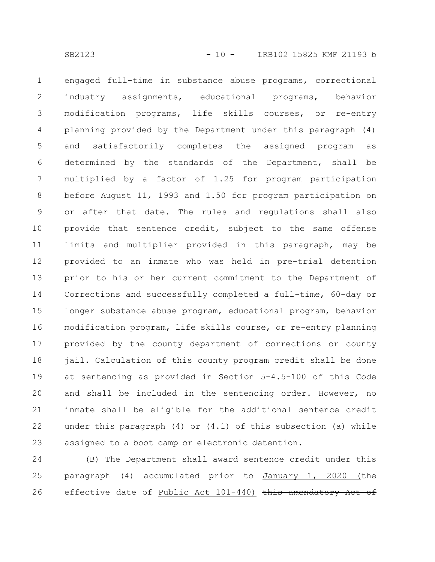engaged full-time in substance abuse programs, correctional industry assignments, educational programs, behavior modification programs, life skills courses, or re-entry planning provided by the Department under this paragraph (4) and satisfactorily completes the assigned program as determined by the standards of the Department, shall be multiplied by a factor of 1.25 for program participation before August 11, 1993 and 1.50 for program participation on or after that date. The rules and regulations shall also provide that sentence credit, subject to the same offense limits and multiplier provided in this paragraph, may be provided to an inmate who was held in pre-trial detention prior to his or her current commitment to the Department of Corrections and successfully completed a full-time, 60-day or longer substance abuse program, educational program, behavior modification program, life skills course, or re-entry planning provided by the county department of corrections or county jail. Calculation of this county program credit shall be done at sentencing as provided in Section 5-4.5-100 of this Code and shall be included in the sentencing order. However, no inmate shall be eligible for the additional sentence credit under this paragraph  $(4)$  or  $(4.1)$  of this subsection  $(a)$  while assigned to a boot camp or electronic detention. 1 2 3 4 5 6 7 8 9 10 11 12 13 14 15 16 17 18 19 20 21 22 23

(B) The Department shall award sentence credit under this paragraph (4) accumulated prior to January 1, 2020 (the effective date of Public Act 101-440) this amendatory Act of 24 25 26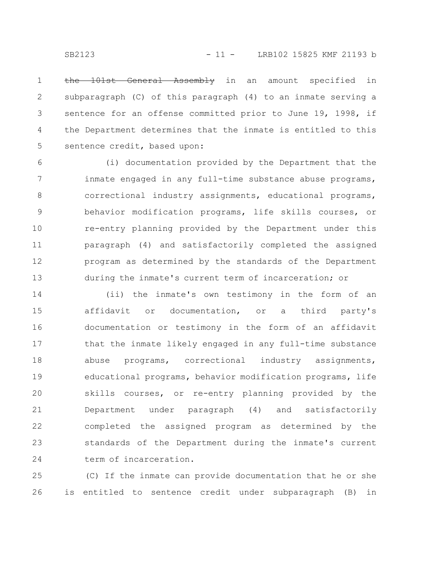the 101st General Assembly in an amount specified in subparagraph (C) of this paragraph (4) to an inmate serving a sentence for an offense committed prior to June 19, 1998, if the Department determines that the inmate is entitled to this sentence credit, based upon: 1 2 3 4 5

(i) documentation provided by the Department that the inmate engaged in any full-time substance abuse programs, correctional industry assignments, educational programs, behavior modification programs, life skills courses, or re-entry planning provided by the Department under this paragraph (4) and satisfactorily completed the assigned program as determined by the standards of the Department during the inmate's current term of incarceration; or 6 7 8 9 10 11 12 13

(ii) the inmate's own testimony in the form of an affidavit or documentation, or a third party's documentation or testimony in the form of an affidavit that the inmate likely engaged in any full-time substance abuse programs, correctional industry assignments, educational programs, behavior modification programs, life skills courses, or re-entry planning provided by the Department under paragraph (4) and satisfactorily completed the assigned program as determined by the standards of the Department during the inmate's current term of incarceration. 14 15 16 17 18 19 20 21 22 23 24

(C) If the inmate can provide documentation that he or she is entitled to sentence credit under subparagraph (B) in 25 26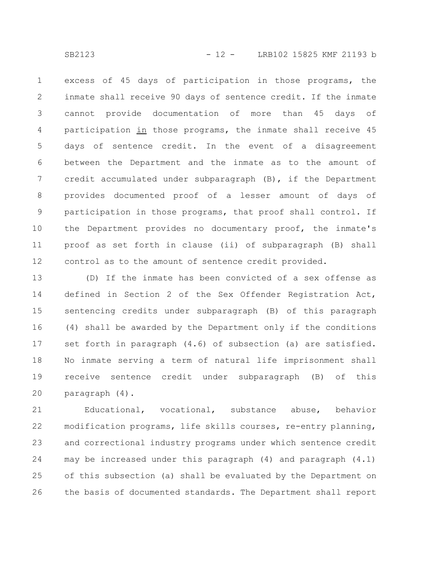excess of 45 days of participation in those programs, the inmate shall receive 90 days of sentence credit. If the inmate cannot provide documentation of more than 45 days of participation in those programs, the inmate shall receive 45 days of sentence credit. In the event of a disagreement between the Department and the inmate as to the amount of credit accumulated under subparagraph (B), if the Department provides documented proof of a lesser amount of days of participation in those programs, that proof shall control. If the Department provides no documentary proof, the inmate's proof as set forth in clause (ii) of subparagraph (B) shall control as to the amount of sentence credit provided. 1 2 3 4 5 6 7 8 9 10 11 12

(D) If the inmate has been convicted of a sex offense as defined in Section 2 of the Sex Offender Registration Act, sentencing credits under subparagraph (B) of this paragraph (4) shall be awarded by the Department only if the conditions set forth in paragraph (4.6) of subsection (a) are satisfied. No inmate serving a term of natural life imprisonment shall receive sentence credit under subparagraph (B) of this paragraph (4). 13 14 15 16 17 18 19 20

Educational, vocational, substance abuse, behavior modification programs, life skills courses, re-entry planning, and correctional industry programs under which sentence credit may be increased under this paragraph (4) and paragraph (4.1) of this subsection (a) shall be evaluated by the Department on the basis of documented standards. The Department shall report 21 22 23 24 25 26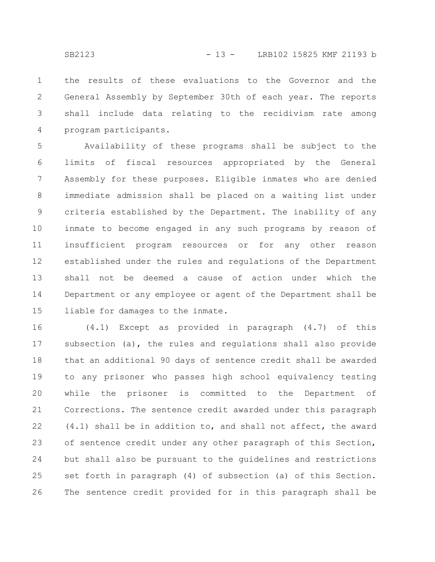the results of these evaluations to the Governor and the General Assembly by September 30th of each year. The reports shall include data relating to the recidivism rate among program participants. 1 2 3 4

Availability of these programs shall be subject to the limits of fiscal resources appropriated by the General Assembly for these purposes. Eligible inmates who are denied immediate admission shall be placed on a waiting list under criteria established by the Department. The inability of any inmate to become engaged in any such programs by reason of insufficient program resources or for any other reason established under the rules and regulations of the Department shall not be deemed a cause of action under which the Department or any employee or agent of the Department shall be liable for damages to the inmate. 5 6 7 8 9 10 11 12 13 14 15

(4.1) Except as provided in paragraph (4.7) of this subsection (a), the rules and regulations shall also provide that an additional 90 days of sentence credit shall be awarded to any prisoner who passes high school equivalency testing while the prisoner is committed to the Department of Corrections. The sentence credit awarded under this paragraph (4.1) shall be in addition to, and shall not affect, the award of sentence credit under any other paragraph of this Section, but shall also be pursuant to the guidelines and restrictions set forth in paragraph (4) of subsection (a) of this Section. The sentence credit provided for in this paragraph shall be 16 17 18 19 20 21 22 23 24 25 26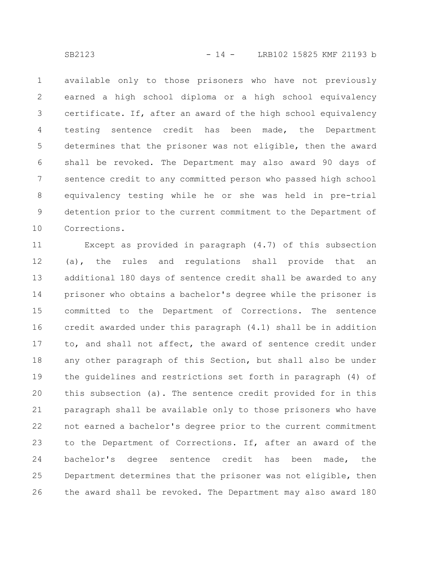available only to those prisoners who have not previously earned a high school diploma or a high school equivalency certificate. If, after an award of the high school equivalency testing sentence credit has been made, the Department determines that the prisoner was not eligible, then the award shall be revoked. The Department may also award 90 days of sentence credit to any committed person who passed high school equivalency testing while he or she was held in pre-trial detention prior to the current commitment to the Department of Corrections. 1 2 3 4 5 6 7 8 9 10

Except as provided in paragraph (4.7) of this subsection (a), the rules and regulations shall provide that an additional 180 days of sentence credit shall be awarded to any prisoner who obtains a bachelor's degree while the prisoner is committed to the Department of Corrections. The sentence credit awarded under this paragraph (4.1) shall be in addition to, and shall not affect, the award of sentence credit under any other paragraph of this Section, but shall also be under the guidelines and restrictions set forth in paragraph (4) of this subsection (a). The sentence credit provided for in this paragraph shall be available only to those prisoners who have not earned a bachelor's degree prior to the current commitment to the Department of Corrections. If, after an award of the bachelor's degree sentence credit has been made, the Department determines that the prisoner was not eligible, then the award shall be revoked. The Department may also award 180 11 12 13 14 15 16 17 18 19 20 21 22 23 24 25 26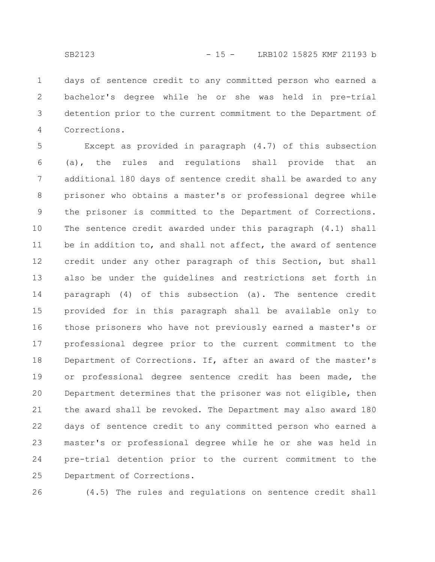days of sentence credit to any committed person who earned a bachelor's degree while he or she was held in pre-trial detention prior to the current commitment to the Department of Corrections. 1 2 3 4

Except as provided in paragraph (4.7) of this subsection (a), the rules and regulations shall provide that an additional 180 days of sentence credit shall be awarded to any prisoner who obtains a master's or professional degree while the prisoner is committed to the Department of Corrections. The sentence credit awarded under this paragraph (4.1) shall be in addition to, and shall not affect, the award of sentence credit under any other paragraph of this Section, but shall also be under the guidelines and restrictions set forth in paragraph (4) of this subsection (a). The sentence credit provided for in this paragraph shall be available only to those prisoners who have not previously earned a master's or professional degree prior to the current commitment to the Department of Corrections. If, after an award of the master's or professional degree sentence credit has been made, the Department determines that the prisoner was not eligible, then the award shall be revoked. The Department may also award 180 days of sentence credit to any committed person who earned a master's or professional degree while he or she was held in pre-trial detention prior to the current commitment to the Department of Corrections. 5 6 7 8 9 10 11 12 13 14 15 16 17 18 19 20 21 22 23 24 25

26

(4.5) The rules and regulations on sentence credit shall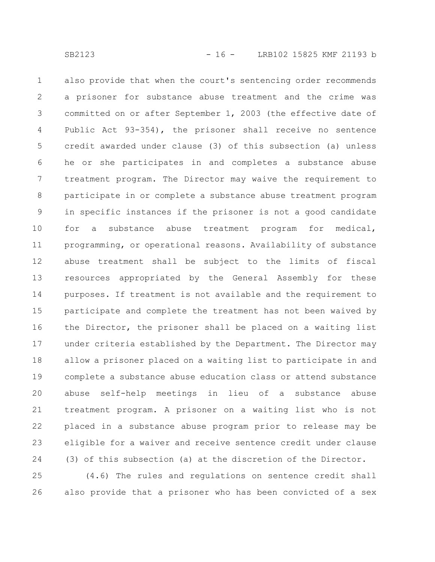also provide that when the court's sentencing order recommends a prisoner for substance abuse treatment and the crime was committed on or after September 1, 2003 (the effective date of Public Act 93-354), the prisoner shall receive no sentence credit awarded under clause (3) of this subsection (a) unless he or she participates in and completes a substance abuse treatment program. The Director may waive the requirement to participate in or complete a substance abuse treatment program in specific instances if the prisoner is not a good candidate for a substance abuse treatment program for medical, programming, or operational reasons. Availability of substance abuse treatment shall be subject to the limits of fiscal resources appropriated by the General Assembly for these purposes. If treatment is not available and the requirement to participate and complete the treatment has not been waived by the Director, the prisoner shall be placed on a waiting list under criteria established by the Department. The Director may allow a prisoner placed on a waiting list to participate in and complete a substance abuse education class or attend substance abuse self-help meetings in lieu of a substance abuse treatment program. A prisoner on a waiting list who is not placed in a substance abuse program prior to release may be eligible for a waiver and receive sentence credit under clause (3) of this subsection (a) at the discretion of the Director. 1 2 3 4 5 6 7 8 9 10 11 12 13 14 15 16 17 18 19 20 21 22 23 24

(4.6) The rules and regulations on sentence credit shall also provide that a prisoner who has been convicted of a sex 25 26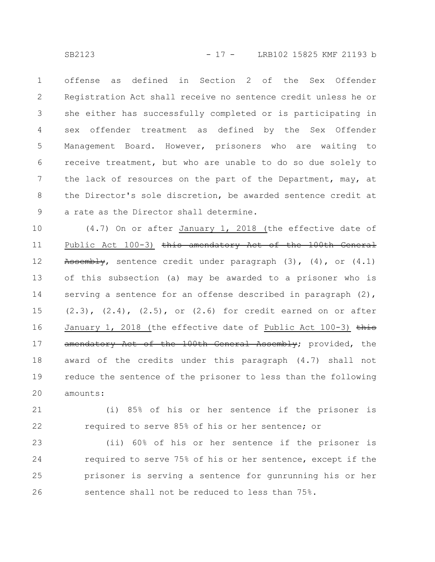offense as defined in Section 2 of the Sex Offender Registration Act shall receive no sentence credit unless he or she either has successfully completed or is participating in sex offender treatment as defined by the Sex Offender Management Board. However, prisoners who are waiting to receive treatment, but who are unable to do so due solely to the lack of resources on the part of the Department, may, at the Director's sole discretion, be awarded sentence credit at a rate as the Director shall determine. 1 2 3 4 5 6 7 8 9

(4.7) On or after January 1, 2018 (the effective date of Public Act 100-3) this amendatory Act of the 100th General Assembly, sentence credit under paragraph  $(3)$ ,  $(4)$ , or  $(4.1)$ of this subsection (a) may be awarded to a prisoner who is serving a sentence for an offense described in paragraph  $(2)$ ,  $(2.3)$ ,  $(2.4)$ ,  $(2.5)$ , or  $(2.6)$  for credit earned on or after January 1, 2018 (the effective date of Public Act 100-3)  $\frac{1}{2}$ amendatory Act of the 100th General Assembly; provided, the award of the credits under this paragraph (4.7) shall not reduce the sentence of the prisoner to less than the following amounts: 10 11 12 13 14 15 16 17 18 19 20

(i) 85% of his or her sentence if the prisoner is required to serve 85% of his or her sentence; or 21 22

(ii) 60% of his or her sentence if the prisoner is required to serve 75% of his or her sentence, except if the prisoner is serving a sentence for gunrunning his or her sentence shall not be reduced to less than 75%. 23 24 25 26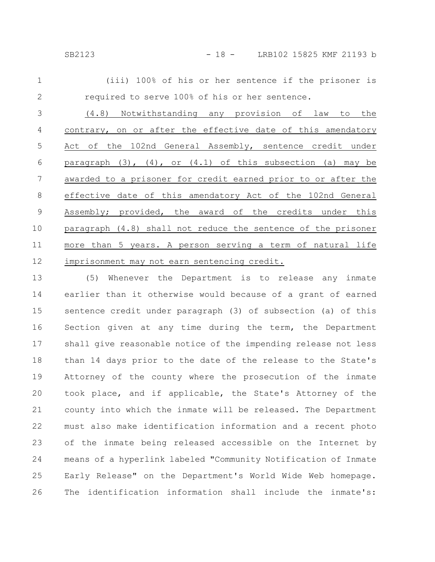|                                                |  |  |  |  | (iii) 100% of his or her sentence if the prisoner is |  |
|------------------------------------------------|--|--|--|--|------------------------------------------------------|--|
| required to serve 100% of his or her sentence. |  |  |  |  |                                                      |  |

(4.8) Notwithstanding any provision of law to the contrary, on or after the effective date of this amendatory Act of the 102nd General Assembly, sentence credit under paragraph  $(3)$ ,  $(4)$ , or  $(4.1)$  of this subsection  $(a)$  may be awarded to a prisoner for credit earned prior to or after the effective date of this amendatory Act of the 102nd General Assembly; provided, the award of the credits under this paragraph (4.8) shall not reduce the sentence of the prisoner more than 5 years. A person serving a term of natural life imprisonment may not earn sentencing credit. 3 4 5 6 7 8 9 10 11 12

(5) Whenever the Department is to release any inmate earlier than it otherwise would because of a grant of earned sentence credit under paragraph (3) of subsection (a) of this Section given at any time during the term, the Department shall give reasonable notice of the impending release not less than 14 days prior to the date of the release to the State's Attorney of the county where the prosecution of the inmate took place, and if applicable, the State's Attorney of the county into which the inmate will be released. The Department must also make identification information and a recent photo of the inmate being released accessible on the Internet by means of a hyperlink labeled "Community Notification of Inmate Early Release" on the Department's World Wide Web homepage. The identification information shall include the inmate's: 13 14 15 16 17 18 19 20 21 22 23 24 25 26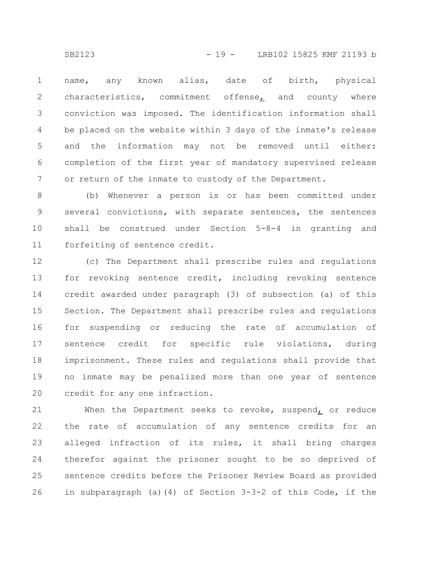name, any known alias, date of birth, physical characteristics, commitment offense, and county where conviction was imposed. The identification information shall be placed on the website within 3 days of the inmate's release and the information may not be removed until either: completion of the first year of mandatory supervised release or return of the inmate to custody of the Department. 1 2 3 4 5 6 7

(b) Whenever a person is or has been committed under several convictions, with separate sentences, the sentences shall be construed under Section 5-8-4 in granting and forfeiting of sentence credit. 8 9 10 11

(c) The Department shall prescribe rules and regulations for revoking sentence credit, including revoking sentence credit awarded under paragraph (3) of subsection (a) of this Section. The Department shall prescribe rules and regulations for suspending or reducing the rate of accumulation of sentence credit for specific rule violations, during imprisonment. These rules and regulations shall provide that no inmate may be penalized more than one year of sentence credit for any one infraction. 12 13 14 15 16 17 18 19 20

When the Department seeks to revoke, suspend, or reduce the rate of accumulation of any sentence credits for an alleged infraction of its rules, it shall bring charges therefor against the prisoner sought to be so deprived of sentence credits before the Prisoner Review Board as provided in subparagraph (a)(4) of Section 3-3-2 of this Code, if the 21 22 23 24 25 26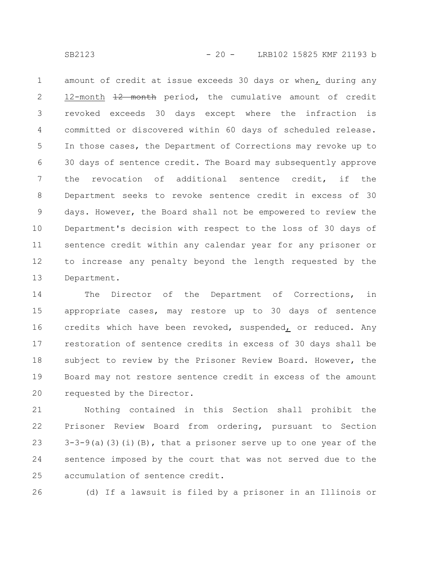SB2123 - 20 - LRB102 15825 KMF 21193 b

amount of credit at issue exceeds 30 days or when, during any 12-month  $\frac{12}{12}$  month period, the cumulative amount of credit revoked exceeds 30 days except where the infraction is committed or discovered within 60 days of scheduled release. In those cases, the Department of Corrections may revoke up to 30 days of sentence credit. The Board may subsequently approve the revocation of additional sentence credit, if the Department seeks to revoke sentence credit in excess of 30 days. However, the Board shall not be empowered to review the Department's decision with respect to the loss of 30 days of sentence credit within any calendar year for any prisoner or to increase any penalty beyond the length requested by the Department. 1 2 3 4 5 6 7 8 9 10 11 12 13

The Director of the Department of Corrections, in appropriate cases, may restore up to 30 days of sentence credits which have been revoked, suspended, or reduced. Any restoration of sentence credits in excess of 30 days shall be subject to review by the Prisoner Review Board. However, the Board may not restore sentence credit in excess of the amount requested by the Director. 14 15 16 17 18 19 20

Nothing contained in this Section shall prohibit the Prisoner Review Board from ordering, pursuant to Section  $3-3-9$ (a)(3)(i)(B), that a prisoner serve up to one year of the sentence imposed by the court that was not served due to the accumulation of sentence credit. 21 22 23 24 25

26

(d) If a lawsuit is filed by a prisoner in an Illinois or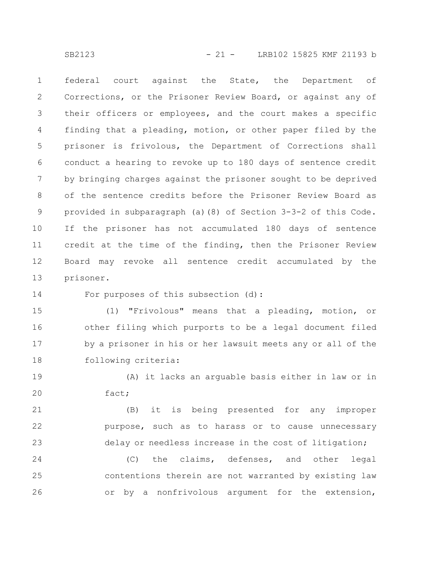SB2123 - 21 - LRB102 15825 KMF 21193 b

federal court against the State, the Department of Corrections, or the Prisoner Review Board, or against any of their officers or employees, and the court makes a specific finding that a pleading, motion, or other paper filed by the prisoner is frivolous, the Department of Corrections shall conduct a hearing to revoke up to 180 days of sentence credit by bringing charges against the prisoner sought to be deprived of the sentence credits before the Prisoner Review Board as provided in subparagraph (a)(8) of Section 3-3-2 of this Code. If the prisoner has not accumulated 180 days of sentence credit at the time of the finding, then the Prisoner Review Board may revoke all sentence credit accumulated by the prisoner. 1 2 3 4 5 6 7 8 9 10 11 12 13

For purposes of this subsection (d): 14

(1) "Frivolous" means that a pleading, motion, or other filing which purports to be a legal document filed by a prisoner in his or her lawsuit meets any or all of the following criteria: 15 16 17 18

(A) it lacks an arguable basis either in law or in fact; 19 20

(B) it is being presented for any improper purpose, such as to harass or to cause unnecessary delay or needless increase in the cost of litigation; 21 22 23

(C) the claims, defenses, and other legal contentions therein are not warranted by existing law or by a nonfrivolous argument for the extension, 24 25 26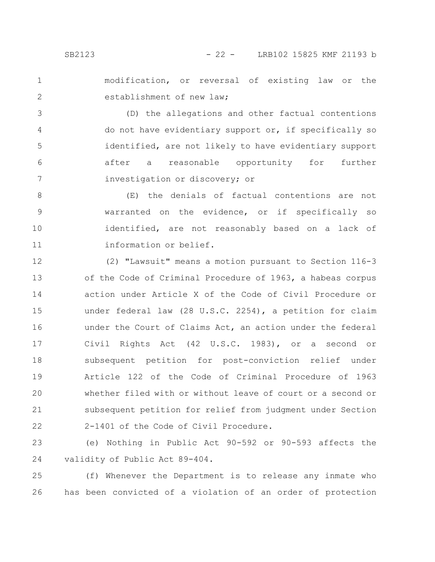modification, or reversal of existing law or the establishment of new law; 1 2

(D) the allegations and other factual contentions do not have evidentiary support or, if specifically so identified, are not likely to have evidentiary support after a reasonable opportunity for further investigation or discovery; or 3 4 5 6 7

(E) the denials of factual contentions are not warranted on the evidence, or if specifically so identified, are not reasonably based on a lack of information or belief. 8 9 10 11

(2) "Lawsuit" means a motion pursuant to Section 116-3 of the Code of Criminal Procedure of 1963, a habeas corpus action under Article X of the Code of Civil Procedure or under federal law (28 U.S.C. 2254), a petition for claim under the Court of Claims Act, an action under the federal Civil Rights Act (42 U.S.C. 1983), or a second or subsequent petition for post-conviction relief under Article 122 of the Code of Criminal Procedure of 1963 whether filed with or without leave of court or a second or subsequent petition for relief from judgment under Section 2-1401 of the Code of Civil Procedure. 12 13 14 15 16 17 18 19 20 21 22

(e) Nothing in Public Act 90-592 or 90-593 affects the validity of Public Act 89-404. 23 24

(f) Whenever the Department is to release any inmate who has been convicted of a violation of an order of protection 25 26